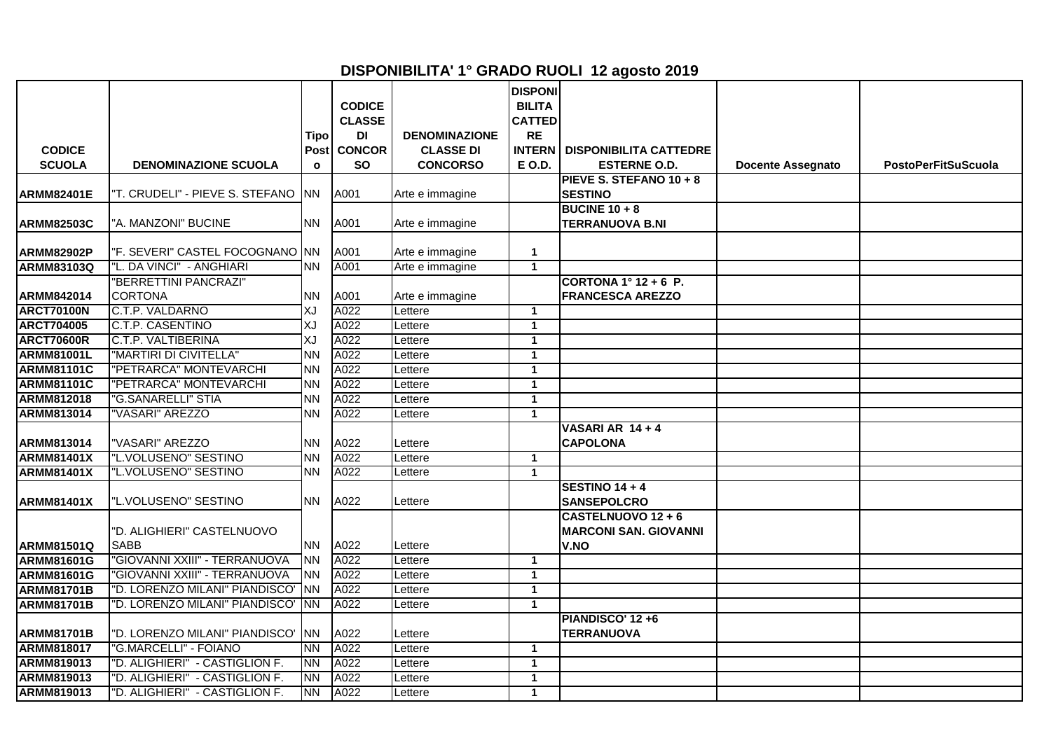## **DISPONIBILITA' 1° GRADO RUOLI 12 agosto 2019**

|                    |                                           |                     | <b>CODICE</b>       |                      | <b>DISPONI</b><br><b>BILITA</b> |                                                            |                          |                            |
|--------------------|-------------------------------------------|---------------------|---------------------|----------------------|---------------------------------|------------------------------------------------------------|--------------------------|----------------------------|
|                    |                                           |                     | <b>CLASSE</b>       | <b>DENOMINAZIONE</b> | <b>CATTED</b><br><b>RE</b>      |                                                            |                          |                            |
| <b>CODICE</b>      |                                           | Tipo<br><b>Post</b> | DI<br><b>CONCOR</b> | <b>CLASSE DI</b>     | <b>INTERN</b>                   | <b>DISPONIBILITA CATTEDRE</b>                              |                          |                            |
| <b>SCUOLA</b>      | <b>DENOMINAZIONE SCUOLA</b>               | $\mathbf{o}$        | <b>SO</b>           | <b>CONCORSO</b>      | E O.D.                          | <b>ESTERNE O.D.</b>                                        | <b>Docente Assegnato</b> | <b>PostoPerFitSuScuola</b> |
|                    |                                           |                     |                     |                      |                                 | PIEVE S. STEFANO 10 + 8                                    |                          |                            |
| <b>ARMM82401E</b>  | "T. CRUDELI" - PIEVE S. STEFANO           | INN.                | A001                | Arte e immagine      |                                 | <b>SESTINO</b>                                             |                          |                            |
| <b>ARMM82503C</b>  | "A. MANZONI" BUCINE                       | <b>NN</b>           | A001                | Arte e immagine      |                                 | <b>BUCINE 10 + 8</b><br><b>TERRANUOVA B.NI</b>             |                          |                            |
| <b>ARMM82902P</b>  | "F. SEVERI" CASTEL FOCOGNANO  NN          |                     | A001                | Arte e immagine      | $\mathbf{1}$                    |                                                            |                          |                            |
| <b>ARMM83103Q</b>  | "L. DA VINCI" - ANGHIARI                  | <b>NN</b>           | A001                | Arte e immagine      | $\mathbf{1}$                    |                                                            |                          |                            |
|                    | "BERRETTINI PANCRAZI"                     |                     |                     |                      |                                 | CORTONA $1^\circ$ 12 + 6 P.                                |                          |                            |
| ARMM842014         | <b>CORTONA</b>                            | <b>NN</b>           | A001                | Arte e immagine      |                                 | <b>FRANCESCA AREZZO</b>                                    |                          |                            |
| <b>ARCT70100N</b>  | C.T.P. VALDARNO                           | XJ                  | A022                | Lettere              | $\mathbf{1}$                    |                                                            |                          |                            |
| <b>ARCT704005</b>  | C.T.P. CASENTINO                          | XJ                  | A022                | Lettere              | $\mathbf{1}$                    |                                                            |                          |                            |
| <b>ARCT70600R</b>  | C.T.P. VALTIBERINA                        | XJ                  | A022                | Lettere              | $\mathbf 1$                     |                                                            |                          |                            |
| <b>ARMM81001L</b>  | "MARTIRI DI CIVITELLA"                    | <b>NN</b>           | A022                | Lettere              | $\mathbf{1}$                    |                                                            |                          |                            |
| <b>ARMM81101C</b>  | 'PETRARCA" MONTEVARCHI                    | <b>NN</b>           | A022                | Lettere              | $\mathbf{1}$                    |                                                            |                          |                            |
| <b>ARMM81101C</b>  | 'PETRARCA" MONTEVARCHI                    | <b>NN</b>           | A022                | Lettere              | $\mathbf{1}$                    |                                                            |                          |                            |
| <b>ARMM812018</b>  | <b>"G.SANARELLI" STIA</b>                 | <b>NN</b>           | A022                | Lettere              | $\mathbf{1}$                    |                                                            |                          |                            |
| <b>ARMM813014</b>  | 'VASARI" AREZZO                           | <b>NN</b>           | A022                | Lettere              | $\mathbf{1}$                    |                                                            |                          |                            |
| <b>ARMM813014</b>  | "VASARI" AREZZO                           | <b>NN</b>           | A022                | Lettere              |                                 | VASARI AR 14 + 4<br><b>CAPOLONA</b>                        |                          |                            |
| <b>ARMM81401X</b>  | "L.VOLUSENO" SESTINO                      | <b>NN</b>           | A022                | Lettere              | $\mathbf{1}$                    |                                                            |                          |                            |
| <b>ARMM81401X</b>  | "L.VOLUSENO" SESTINO                      | ΝN                  | A022                | Lettere              | $\mathbf{1}$                    |                                                            |                          |                            |
| <b>IARMM81401X</b> | "L.VOLUSENO" SESTINO                      | <b>NN</b>           | A022                | Lettere              |                                 | <b>SESTINO 14+4</b><br><b>SANSEPOLCRO</b>                  |                          |                            |
| <b>ARMM81501Q</b>  | "D. ALIGHIERI" CASTELNUOVO<br><b>SABB</b> | <b>NN</b>           | A022                | Lettere              |                                 | CASTELNUOVO 12 + 6<br><b>MARCONI SAN. GIOVANNI</b><br>V.NO |                          |                            |
| <b>ARMM81601G</b>  | "GIOVANNI XXIII" - TERRANUOVA             | <b>NN</b>           | A022                | Lettere              | $\mathbf{1}$                    |                                                            |                          |                            |
| <b>ARMM81601G</b>  | "GIOVANNI XXIII" - TERRANUOVA             | <b>NN</b>           | A022                | Lettere              | $\mathbf{1}$                    |                                                            |                          |                            |
| <b>ARMM81701B</b>  | "D. LORENZO MILANI" PIANDISCO'            | <b>NN</b>           | A022                | Lettere              | $\mathbf{1}$                    |                                                            |                          |                            |
| <b>ARMM81701B</b>  | "D. LORENZO MILANI" PIANDISCO'            | <b>INN</b>          | A022                | Lettere              | $\mathbf{1}$                    |                                                            |                          |                            |
|                    |                                           |                     |                     |                      |                                 | <b>PIANDISCO' 12 +6</b>                                    |                          |                            |
| <b>ARMM81701B</b>  | "D. LORENZO MILANI" PIANDISCO'            | <b>INN</b>          | A022                | Lettere              |                                 | <b>TERRANUOVA</b>                                          |                          |                            |
| <b>ARMM818017</b>  | <b>"G.MARCELLI" - FOIANO</b>              | <b>NN</b>           | A022                | Lettere              | $\mathbf{1}$                    |                                                            |                          |                            |
| ARMM819013         | "D. ALIGHIERI" - CASTIGLION F.            | <b>NN</b>           | A022                | Lettere              | $\mathbf{1}$                    |                                                            |                          |                            |
| ARMM819013         | "D. ALIGHIERI" - CASTIGLION F.            | <b>NN</b>           | A022                | _ettere              | $\mathbf{1}$                    |                                                            |                          |                            |
| <b>ARMM819013</b>  | "D. ALIGHIERI" - CASTIGLION F.            | <b>NN</b>           | A022                | Lettere              | $\mathbf{1}$                    |                                                            |                          |                            |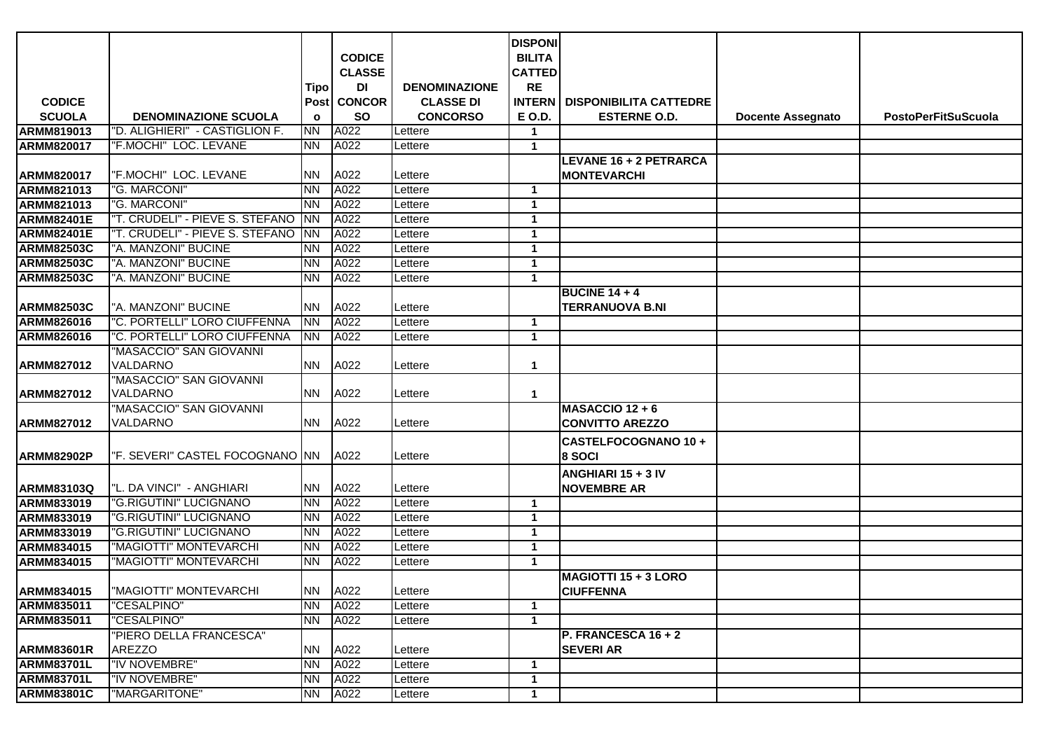|                   |                                            |              |                                |                      | <b>DISPONI</b>                 |                                                 |                          |                            |
|-------------------|--------------------------------------------|--------------|--------------------------------|----------------------|--------------------------------|-------------------------------------------------|--------------------------|----------------------------|
|                   |                                            |              | <b>CODICE</b><br><b>CLASSE</b> |                      | <b>BILITA</b><br><b>CATTED</b> |                                                 |                          |                            |
|                   |                                            | <b>Tipo</b>  | DI                             | <b>DENOMINAZIONE</b> | <b>RE</b>                      |                                                 |                          |                            |
| <b>CODICE</b>     |                                            |              | Post CONCOR                    | <b>CLASSE DI</b>     | <b>INTERN</b>                  | <b>DISPONIBILITA CATTEDRE</b>                   |                          |                            |
| <b>SCUOLA</b>     | <b>DENOMINAZIONE SCUOLA</b>                | $\mathbf{o}$ | <b>SO</b>                      | <b>CONCORSO</b>      | E O.D.                         | <b>ESTERNE O.D.</b>                             | <b>Docente Assegnato</b> | <b>PostoPerFitSuScuola</b> |
| <b>ARMM819013</b> | "D. ALIGHIERI" - CASTIGLION F.             | <b>NN</b>    | A022                           | Lettere              | $\mathbf 1$                    |                                                 |                          |                            |
| <b>ARMM820017</b> | "F.MOCHI" LOC. LEVANE                      | NN.          | A022                           | Lettere              | $\mathbf{1}$                   |                                                 |                          |                            |
|                   |                                            |              |                                |                      |                                | LEVANE 16 + 2 PETRARCA                          |                          |                            |
| ARMM820017        | "F.MOCHI" LOC. LEVANE                      | NN.          | A022                           | Lettere              |                                | <b>MONTEVARCHI</b>                              |                          |                            |
| ARMM821013        | "G. MARCONI"                               | NN.          | A022                           | Lettere              | $\mathbf{1}$                   |                                                 |                          |                            |
| ARMM821013        | "G. MARCONI"                               | NN.          | A022                           | Lettere              | $\mathbf 1$                    |                                                 |                          |                            |
| <b>ARMM82401E</b> | "T. CRUDELI" - PIEVE S. STEFANO            | <b>NN</b>    | A022                           | Lettere              | $\mathbf{1}$                   |                                                 |                          |                            |
| <b>ARMM82401E</b> | "T. CRUDELI" - PIEVE S. STEFANO            | NN.          | A022                           | Lettere              | $\mathbf{1}$                   |                                                 |                          |                            |
| <b>ARMM82503C</b> | "A. MANZONI" BUCINE                        | NN.          | A022                           | Lettere              | $\mathbf 1$                    |                                                 |                          |                            |
| <b>ARMM82503C</b> | "A. MANZONI" BUCINE                        | NN.          | A022                           | _ettere              | $\mathbf 1$                    |                                                 |                          |                            |
| <b>ARMM82503C</b> | "A. MANZONI" BUCINE                        | NN.          | A022                           | Lettere              | $\mathbf{1}$                   |                                                 |                          |                            |
| <b>ARMM82503C</b> | "A. MANZONI" BUCINE                        | NN.          | A022                           | Lettere              |                                | <b>BUCINE 14 + 4</b><br><b>TERRANUOVA B.NI</b>  |                          |                            |
| <b>ARMM826016</b> | "C. PORTELLI" LORO CIUFFENNA               | <b>NN</b>    | A022                           | Lettere              | $\mathbf{1}$                   |                                                 |                          |                            |
| <b>ARMM826016</b> | "C. PORTELLI" LORO CIUFFENNA               | <b>NN</b>    | A022                           | Lettere              | $\mathbf 1$                    |                                                 |                          |                            |
| ARMM827012        | "MASACCIO" SAN GIOVANNI<br>VALDARNO        | NN.          | A022                           | Lettere              | $\mathbf 1$                    |                                                 |                          |                            |
| ARMM827012        | "MASACCIO" SAN GIOVANNI<br><b>VALDARNO</b> | NN.          | A022                           | Lettere              | $\mathbf 1$                    |                                                 |                          |                            |
| ARMM827012        | "MASACCIO" SAN GIOVANNI<br>VALDARNO        | NN.          | A022                           | Lettere              |                                | $MASACCIO$ 12 + 6<br><b>CONVITTO AREZZO</b>     |                          |                            |
| <b>ARMM82902P</b> | "F. SEVERI" CASTEL FOCOGNANO INN           |              | A022                           | Lettere              |                                | CASTELFOCOGNANO 10+<br>8 SOCI                   |                          |                            |
|                   |                                            |              |                                |                      |                                | ANGHIARI 15 + 3 IV                              |                          |                            |
| ARMM83103Q        | "L. DA VINCI" - ANGHIARI                   | NN           | A022                           | Lettere              |                                | <b>NOVEMBRE AR</b>                              |                          |                            |
| ARMM833019        | "G.RIGUTINI" LUCIGNANO                     | NN.          | A022                           | Lettere              | $\mathbf 1$                    |                                                 |                          |                            |
| ARMM833019        | "G.RIGUTINI" LUCIGNANO                     | NN.          | A022                           | Lettere              | $\mathbf{1}$                   |                                                 |                          |                            |
| ARMM833019        | "G.RIGUTINI" LUCIGNANO                     | <b>NN</b>    | A022                           | Lettere              | $\mathbf 1$                    |                                                 |                          |                            |
| ARMM834015        | "MAGIOTTI" MONTEVARCHI                     | NN.          | A022                           | Lettere              | $\mathbf 1$                    |                                                 |                          |                            |
| ARMM834015        | "MAGIOTTI" MONTEVARCHI                     | NN.          | A022                           | Lettere              | $\mathbf 1$                    |                                                 |                          |                            |
| ARMM834015        | <b>MAGIOTTI" MONTEVARCHI</b>               | <b>NN</b>    | A022                           | Lettere              |                                | <b>MAGIOTTI 15 + 3 LORO</b><br><b>CIUFFENNA</b> |                          |                            |
| ARMM835011        | "CESALPINO"                                | NN.          | A022                           | Lettere              | $\mathbf{1}$                   |                                                 |                          |                            |
| <b>ARMM835011</b> | "CESALPINO"                                | <b>NN</b>    | A022                           | Lettere              | $\mathbf{1}$                   |                                                 |                          |                            |
| <b>ARMM83601R</b> | "PIERO DELLA FRANCESCA"<br><b>AREZZO</b>   | <b>NN</b>    | A022                           | Lettere              |                                | P. FRANCESCA 16 + 2<br><b>SEVERI AR</b>         |                          |                            |
| <b>ARMM83701L</b> | "IV NOVEMBRE"                              | <b>NN</b>    | A022                           | Lettere              | $\mathbf{1}$                   |                                                 |                          |                            |
| <b>ARMM83701L</b> | "IV NOVEMBRE"                              | NN           | A022                           | Lettere              | $\mathbf{1}$                   |                                                 |                          |                            |
| <b>ARMM83801C</b> | "MARGARITONE"                              | NN           | A022                           | Lettere              | $\mathbf{1}$                   |                                                 |                          |                            |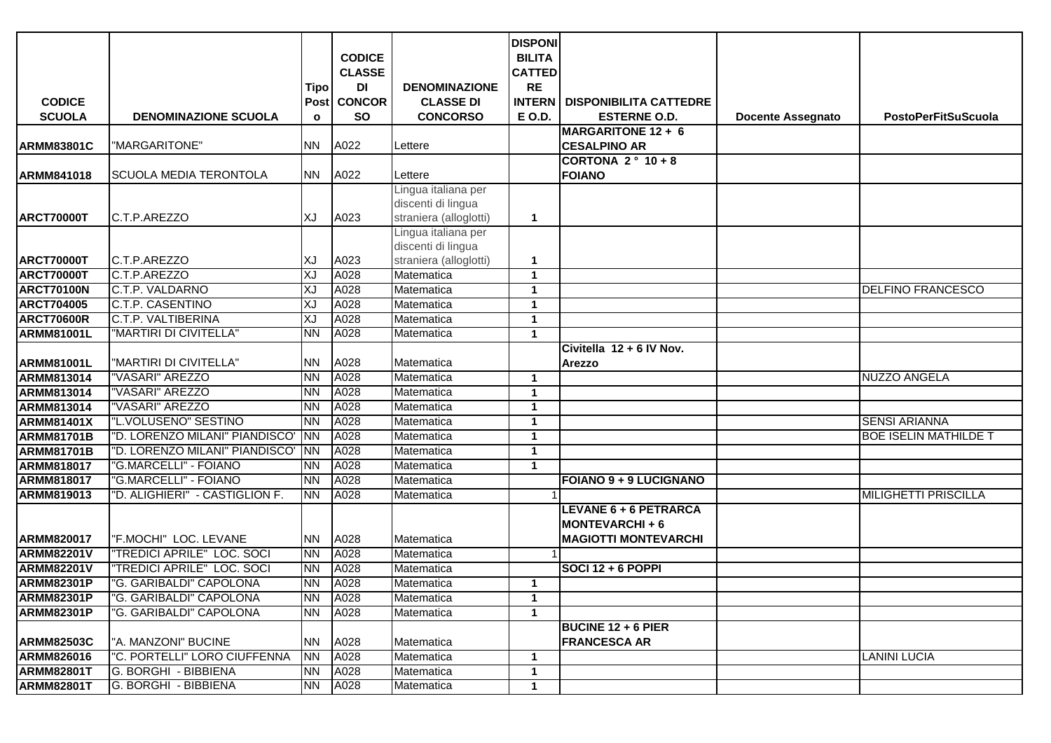|                   |                                |              |               |                                           | <b>DISPONI</b> |                                                  |                          |                              |
|-------------------|--------------------------------|--------------|---------------|-------------------------------------------|----------------|--------------------------------------------------|--------------------------|------------------------------|
|                   |                                |              | <b>CODICE</b> |                                           | <b>BILITA</b>  |                                                  |                          |                              |
|                   |                                |              | <b>CLASSE</b> |                                           | <b>CATTED</b>  |                                                  |                          |                              |
|                   |                                | <b>Tipo</b>  | DI            | <b>DENOMINAZIONE</b>                      | <b>RE</b>      |                                                  |                          |                              |
| <b>CODICE</b>     |                                | Post         | <b>CONCOR</b> | <b>CLASSE DI</b>                          | <b>INTERN</b>  | <b>DISPONIBILITA CATTEDRE</b>                    |                          |                              |
| <b>SCUOLA</b>     | <b>DENOMINAZIONE SCUOLA</b>    | $\mathbf{o}$ | <b>SO</b>     | <b>CONCORSO</b>                           | E O.D.         | <b>ESTERNE O.D.</b>                              | <b>Docente Assegnato</b> | <b>PostoPerFitSuScuola</b>   |
|                   |                                |              |               |                                           |                | <b>MARGARITONE 12 + 6</b>                        |                          |                              |
| <b>ARMM83801C</b> | "MARGARITONE"                  | NN.          | A022          | Lettere                                   |                | <b>CESALPINO AR</b>                              |                          |                              |
|                   |                                |              |               |                                           |                | <b>CORTONA 2° 10+8</b>                           |                          |                              |
| <b>ARMM841018</b> | SCUOLA MEDIA TERONTOLA         | <b>NN</b>    | A022          | Lettere                                   |                | <b>FOIANO</b>                                    |                          |                              |
|                   |                                |              |               | Lingua italiana per                       |                |                                                  |                          |                              |
|                   |                                |              |               | discenti di lingua                        |                |                                                  |                          |                              |
| <b>ARCT70000T</b> | C.T.P.AREZZO                   | χJ           | A023          | straniera (alloglotti)                    | $\mathbf{1}$   |                                                  |                          |                              |
|                   |                                |              |               | Lingua italiana per<br>discenti di lingua |                |                                                  |                          |                              |
| <b>ARCT70000T</b> | C.T.P.AREZZO                   | ΧJ           | A023          | straniera (alloglotti)                    | $\mathbf{1}$   |                                                  |                          |                              |
| <b>ARCT70000T</b> | C.T.P.AREZZO                   | XJ           | A028          | Matematica                                | $\mathbf{1}$   |                                                  |                          |                              |
| <b>ARCT70100N</b> | C.T.P. VALDARNO                | ΧJ           | A028          | Matematica                                | $\mathbf{1}$   |                                                  |                          | <b>DELFINO FRANCESCO</b>     |
| <b>ARCT704005</b> | <b>C.T.P. CASENTINO</b>        | XJ           | A028          | Matematica                                | $\mathbf{1}$   |                                                  |                          |                              |
| <b>ARCT70600R</b> | <b>C.T.P. VALTIBERINA</b>      | ΧJ           | A028          | Matematica                                | $\mathbf{1}$   |                                                  |                          |                              |
| <b>ARMM81001L</b> | "MARTIRI DI CIVITELLA"         | <b>NN</b>    | A028          | Matematica                                | $\mathbf{1}$   |                                                  |                          |                              |
|                   |                                |              |               |                                           |                | Civitella 12 + 6 IV Nov.                         |                          |                              |
| <b>ARMM81001L</b> | "MARTIRI DI CIVITELLA"         | <b>NN</b>    | A028          | Matematica                                |                | Arezzo                                           |                          |                              |
| <b>ARMM813014</b> | "VASARI" AREZZO                | <b>NN</b>    | A028          | Matematica                                | $\mathbf{1}$   |                                                  |                          | <b>NUZZO ANGELA</b>          |
| <b>ARMM813014</b> | "VASARI" AREZZO                | <b>NN</b>    | A028          | Matematica                                | $\mathbf{1}$   |                                                  |                          |                              |
| ARMM813014        | "VASARI" AREZZO                | <b>NN</b>    | A028          | Matematica                                | $\mathbf{1}$   |                                                  |                          |                              |
| <b>ARMM81401X</b> | "L.VOLUSENO" SESTINO           | <b>INN</b>   | A028          | Matematica                                | $\mathbf{1}$   |                                                  |                          | <b>SENSI ARIANNA</b>         |
| <b>ARMM81701B</b> | "D. LORENZO MILANI" PIANDISCO' | <b>INN</b>   | A028          | Matematica                                | $\mathbf{1}$   |                                                  |                          | <b>BOE ISELIN MATHILDE T</b> |
| <b>ARMM81701B</b> | "D. LORENZO MILANI" PIANDISCO' | <b>NN</b>    | A028          | Matematica                                | $\mathbf{1}$   |                                                  |                          |                              |
| <b>ARMM818017</b> | "G.MARCELLI" - FOIANO          | <b>NN</b>    | A028          | Matematica                                | $\mathbf{1}$   |                                                  |                          |                              |
| <b>ARMM818017</b> | "G.MARCELLI" - FOIANO          | INN          | A028          | Matematica                                |                | <b>FOIANO 9 + 9 LUCIGNANO</b>                    |                          |                              |
| <b>ARMM819013</b> | "D. ALIGHIERI" - CASTIGLION F. | <b>NN</b>    | A028          | Matematica                                |                |                                                  |                          | <b>MILIGHETTI PRISCILLA</b>  |
|                   |                                |              |               |                                           |                | <b>LEVANE 6 + 6 PETRARCA</b>                     |                          |                              |
|                   |                                |              |               |                                           |                | <b>MONTEVARCHI+6</b>                             |                          |                              |
| <b>ARMM820017</b> | "F.MOCHI" LOC. LEVANE          | <b>NN</b>    | A028          | Matematica                                |                | <b>MAGIOTTI MONTEVARCHI</b>                      |                          |                              |
| <b>ARMM82201V</b> | "TREDICI APRILE" LOC. SOCI     | <b>NN</b>    | A028          | Matematica                                |                |                                                  |                          |                              |
| <b>ARMM82201V</b> | "TREDICI APRILE" LOC. SOCI     | <b>NN</b>    | A028          | Matematica                                |                | SOCI 12 + 6 POPPI                                |                          |                              |
| <b>ARMM82301P</b> | "G. GARIBALDI" CAPOLONA        | <b>NN</b>    | A028          | Matematica                                | $\mathbf{1}$   |                                                  |                          |                              |
| <b>ARMM82301P</b> | "G. GARIBALDI" CAPOLONA        | <b>NN</b>    | A028          | Matematica                                | $\mathbf{1}$   |                                                  |                          |                              |
| <b>ARMM82301P</b> | "G. GARIBALDI" CAPOLONA        | <b>NN</b>    | A028          | Matematica                                | $\mathbf{1}$   |                                                  |                          |                              |
| <b>ARMM82503C</b> | "A. MANZONI" BUCINE            | <b>NN</b>    | A028          | Matematica                                |                | <b>BUCINE 12 + 6 PIER</b><br><b>FRANCESCA AR</b> |                          |                              |
| <b>ARMM826016</b> | "C. PORTELLI" LORO CIUFFENNA   | <b>NN</b>    | A028          | Matematica                                | $\mathbf{1}$   |                                                  |                          | <b>LANINI LUCIA</b>          |
| <b>ARMM82801T</b> | G. BORGHI - BIBBIENA           | <b>NN</b>    | A028          | Matematica                                | $\mathbf{1}$   |                                                  |                          |                              |
| <b>ARMM82801T</b> | G. BORGHI - BIBBIENA           | <b>NN</b>    | A028          | Matematica                                | $\mathbf{1}$   |                                                  |                          |                              |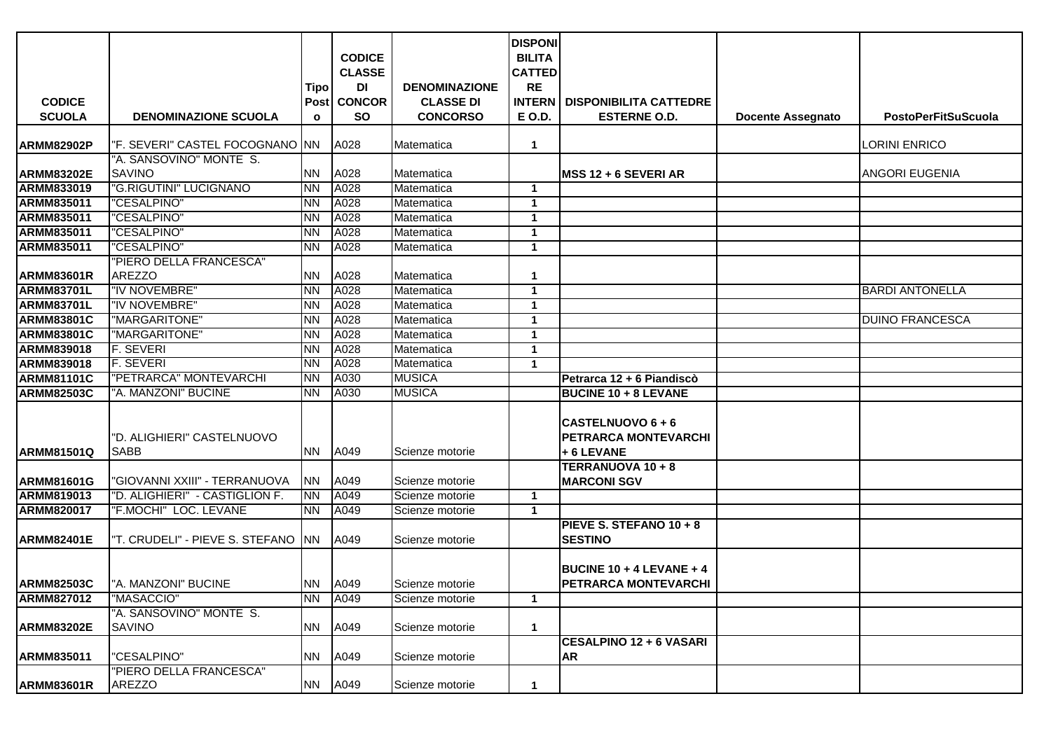|                   |                                          |                |                |                      | <b>DISPONI</b> |                                 |                          |                            |
|-------------------|------------------------------------------|----------------|----------------|----------------------|----------------|---------------------------------|--------------------------|----------------------------|
|                   |                                          |                | <b>CODICE</b>  |                      | <b>BILITA</b>  |                                 |                          |                            |
|                   |                                          |                | <b>CLASSE</b>  |                      | <b>CATTED</b>  |                                 |                          |                            |
|                   |                                          | Tipo           | DI             | <b>DENOMINAZIONE</b> | <b>RE</b>      |                                 |                          |                            |
| <b>CODICE</b>     |                                          | Post           | <b>CONCOR</b>  | <b>CLASSE DI</b>     | <b>INTERN</b>  | <b>DISPONIBILITA CATTEDRE</b>   |                          |                            |
| <b>SCUOLA</b>     | <b>DENOMINAZIONE SCUOLA</b>              | $\mathbf{o}$   | <b>SO</b>      | <b>CONCORSO</b>      | <b>E O.D.</b>  | <b>ESTERNE O.D.</b>             | <b>Docente Assegnato</b> | <b>PostoPerFitSuScuola</b> |
|                   |                                          |                |                |                      |                |                                 |                          |                            |
| <b>ARMM82902P</b> | "F. SEVERI" CASTEL FOCOGNANO  NN         |                | A028           | Matematica           | 1              |                                 |                          | LORINI ENRICO              |
|                   | "A. SANSOVINO" MONTE S.                  |                |                |                      |                |                                 |                          |                            |
| <b>ARMM83202E</b> | <b>SAVINO</b>                            | <b>NN</b>      | A028           | Matematica           |                | $MSS 12 + 6 SEVERI AR$          |                          | ANGORI EUGENIA             |
| <b>ARMM833019</b> | "G.RIGUTINI" LUCIGNANO                   | <b>NN</b>      | A028           | Matematica           | $\mathbf{1}$   |                                 |                          |                            |
| <b>ARMM835011</b> | "CESALPINO"                              | <b>NN</b>      | A028           | Matematica           | $\mathbf{1}$   |                                 |                          |                            |
| <b>ARMM835011</b> | "CESALPINO"                              | <b>NN</b>      | A028           | Matematica           | $\mathbf{1}$   |                                 |                          |                            |
| ARMM835011        | "CESALPINO"                              | NN.            | A028           | Matematica           | $\mathbf{1}$   |                                 |                          |                            |
| <b>ARMM835011</b> | "CESALPINO"                              | <b>NN</b>      | A028           | Matematica           | $\mathbf{1}$   |                                 |                          |                            |
| <b>ARMM83601R</b> | "PIERO DELLA FRANCESCA"<br><b>AREZZO</b> | <b>NN</b>      | A028           | Matematica           | 1              |                                 |                          |                            |
| <b>ARMM83701L</b> | "IV NOVEMBRE"                            | <b>NN</b>      | A028           | Matematica           | $\mathbf 1$    |                                 |                          | <b>BARDI ANTONELLA</b>     |
| <b>ARMM83701L</b> | "IV NOVEMBRE"                            | <b>NN</b>      | A028           | Matematica           | $\mathbf{1}$   |                                 |                          |                            |
| <b>ARMM83801C</b> | "MARGARITONE"                            | <b>NN</b>      | A028           | Matematica           | $\mathbf 1$    |                                 |                          | <b>DUINO FRANCESCA</b>     |
| <b>ARMM83801C</b> | "MARGARITONE"                            | <b>NN</b>      | A028           | Matematica           | $\mathbf{1}$   |                                 |                          |                            |
| <b>ARMM839018</b> | <b>F. SEVERI</b>                         | <b>NN</b>      | A028           | Matematica           | $\mathbf{1}$   |                                 |                          |                            |
| <b>ARMM839018</b> | <b>F. SEVERI</b>                         | <b>NN</b>      | A028           | Matematica           | $\mathbf 1$    |                                 |                          |                            |
| <b>ARMM81101C</b> | "PETRARCA" MONTEVARCHI                   | <b>NN</b>      | A030           | <b>MUSICA</b>        |                | Petrarca 12 + 6 Piandiscò       |                          |                            |
| <b>ARMM82503C</b> | "A. MANZONI" BUCINE                      | <b>NN</b>      | A030           | <b>MUSICA</b>        |                | <b>BUCINE 10 + 8 LEVANE</b>     |                          |                            |
|                   |                                          |                |                |                      |                |                                 |                          |                            |
|                   |                                          |                |                |                      |                | CASTELNUOVO 6 + 6               |                          |                            |
|                   | "D. ALIGHIERI" CASTELNUOVO               |                |                |                      |                | PETRARCA MONTEVARCHI            |                          |                            |
| <b>ARMM81501Q</b> | <b>SABB</b>                              | NN.            | A049           | Scienze motorie      |                | +6 LEVANE                       |                          |                            |
|                   |                                          |                |                |                      |                | TERRANUOVA 10 + 8               |                          |                            |
| <b>ARMM81601G</b> | "GIOVANNI XXIII" - TERRANUOVA            | <b>NN</b>      | A049           | Scienze motorie      |                | <b>MARCONI SGV</b>              |                          |                            |
| <b>ARMM819013</b> | "D. ALIGHIERI" - CASTIGLION F.           | <b>NN</b>      | A049           | Scienze motorie      | $\mathbf{1}$   |                                 |                          |                            |
| <b>ARMM820017</b> | "F.MOCHI" LOC. LEVANE                    | <b>NN</b>      | A049           | Scienze motorie      | $\mathbf{1}$   |                                 |                          |                            |
|                   |                                          |                |                |                      |                | PIEVE S. STEFANO 10 + 8         |                          |                            |
| <b>ARMM82401E</b> | "T. CRUDELI" - PIEVE S. STEFANO  NN      |                | A049           | Scienze motorie      |                | <b>SESTINO</b>                  |                          |                            |
|                   |                                          |                |                |                      |                |                                 |                          |                            |
|                   |                                          |                |                |                      |                | <b>BUCINE 10 + 4 LEVANE + 4</b> |                          |                            |
| <b>ARMM82503C</b> | I"A. MANZONI" BUCINE                     | <b>NN A049</b> |                | Scienze motorie      |                | <b>PETRARCA MONTEVARCHI</b>     |                          |                            |
| <b>ARMM827012</b> | "MASACCIO"                               | <b>NN</b>      | A049           | Scienze motorie      | $\mathbf 1$    |                                 |                          |                            |
|                   | "A. SANSOVINO" MONTE S.                  |                |                |                      |                |                                 |                          |                            |
| <b>ARMM83202E</b> | <b>SAVINO</b>                            | <b>NN</b>      | A049           | Scienze motorie      | $\mathbf{1}$   |                                 |                          |                            |
|                   |                                          |                |                |                      |                | <b>CESALPINO 12 + 6 VASARI</b>  |                          |                            |
| <b>ARMM835011</b> | "CESALPINO"                              | <b>NN</b>      | A049           | Scienze motorie      |                | <b>AR</b>                       |                          |                            |
|                   | 'PIERO DELLA FRANCESCA"                  |                |                |                      |                |                                 |                          |                            |
| <b>ARMM83601R</b> | <b>AREZZO</b>                            |                | <b>NN A049</b> | Scienze motorie      | $\mathbf 1$    |                                 |                          |                            |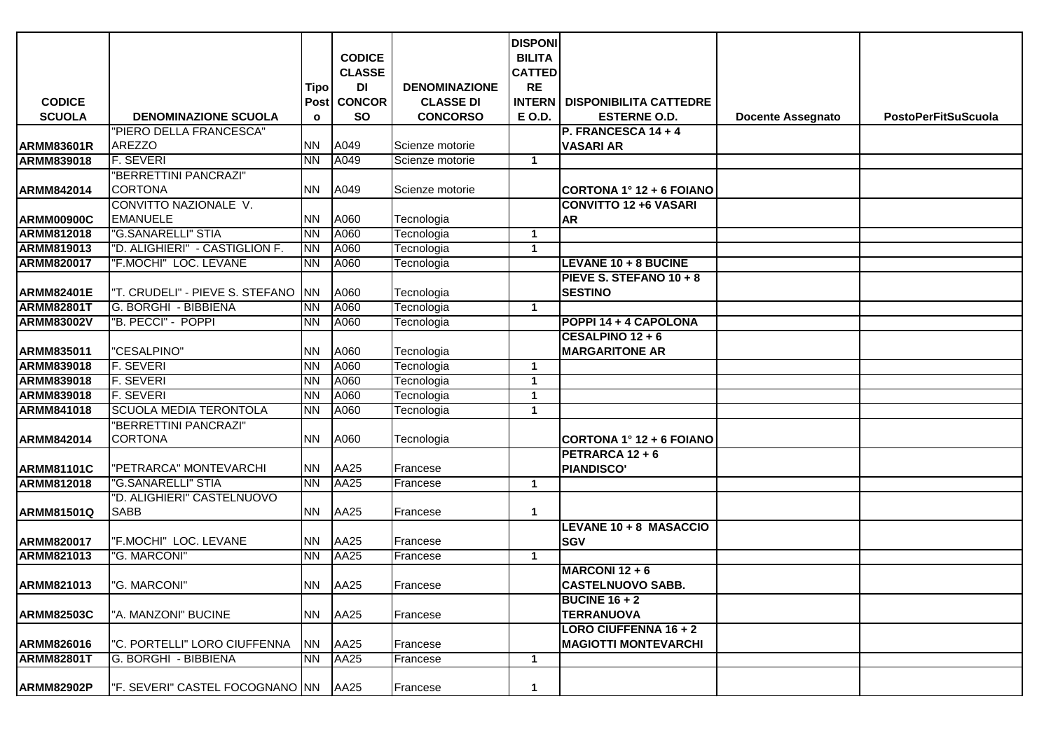|                   |                                        |                |                  |                      | <b>DISPONI</b> |                                        |                          |                            |
|-------------------|----------------------------------------|----------------|------------------|----------------------|----------------|----------------------------------------|--------------------------|----------------------------|
|                   |                                        |                | <b>CODICE</b>    |                      | <b>BILITA</b>  |                                        |                          |                            |
|                   |                                        |                | <b>CLASSE</b>    |                      | <b>CATTED</b>  |                                        |                          |                            |
|                   |                                        | Tipo           | DI               | <b>DENOMINAZIONE</b> | <b>RE</b>      |                                        |                          |                            |
| <b>CODICE</b>     |                                        |                | Post CONCOR      | <b>CLASSE DI</b>     |                | <b>INTERN   DISPONIBILITA CATTEDRE</b> |                          |                            |
| <b>SCUOLA</b>     | <b>DENOMINAZIONE SCUOLA</b>            | $\mathbf{o}$   | <b>SO</b>        | <b>CONCORSO</b>      | <b>E O.D.</b>  | <b>ESTERNE O.D.</b>                    | <b>Docente Assegnato</b> | <b>PostoPerFitSuScuola</b> |
|                   | "PIERO DELLA FRANCESCA"                |                |                  |                      |                | P. FRANCESCA 14 + 4                    |                          |                            |
| <b>ARMM83601R</b> | <b>AREZZO</b>                          | NN   A049      |                  | Scienze motorie      |                | <b>VASARI AR</b>                       |                          |                            |
| <b>ARMM839018</b> | F. SEVERI                              | <b>NN</b>      | A049             | Scienze motorie      | $\mathbf 1$    |                                        |                          |                            |
|                   | "BERRETTINI PANCRAZI"                  |                |                  |                      |                |                                        |                          |                            |
| ARMM842014        | <b>CORTONA</b>                         | <b>NN A049</b> |                  | Scienze motorie      |                | CORTONA 1° 12 + 6 FOIANO               |                          |                            |
|                   | CONVITTO NAZIONALE V.                  |                |                  |                      |                | <b>CONVITTO 12 +6 VASARI</b>           |                          |                            |
| <b>ARMM00900C</b> | <b>EMANUELE</b>                        | <b>NN</b>      | A060             | Tecnologia           |                | <b>AR</b>                              |                          |                            |
| <b>ARMM812018</b> | "G.SANARELLI" STIA                     | <b>NN</b>      | A060             | Tecnologia           | 1              |                                        |                          |                            |
| <b>ARMM819013</b> | "D. ALIGHIERI" - CASTIGLION F.         | <b>NN</b>      | A060             | Tecnologia           | $\mathbf{1}$   |                                        |                          |                            |
| <b>ARMM820017</b> | "F.MOCHI" LOC. LEVANE                  | <b>NN</b>      | A060             | Tecnologia           |                | LEVANE 10 + 8 BUCINE                   |                          |                            |
|                   |                                        |                |                  |                      |                | PIEVE S. STEFANO 10 + 8                |                          |                            |
| <b>ARMM82401E</b> | "T. CRUDELI" - PIEVE S. STEFANO        | <b>NN</b>      | A060             | Tecnologia           |                | <b>SESTINO</b>                         |                          |                            |
| <b>ARMM82801T</b> | G. BORGHI - BIBBIENA                   | <b>NN</b>      | A060             | Tecnologia           | $\mathbf{1}$   |                                        |                          |                            |
| <b>ARMM83002V</b> | "B. PECCI" - POPPI                     | <b>NN</b>      | A060             | Tecnologia           |                | POPPI 14 + 4 CAPOLONA                  |                          |                            |
|                   |                                        |                |                  |                      |                | CESALPINO 12 + 6                       |                          |                            |
| ARMM835011        | "CESALPINO"                            | <b>NN</b>      | A060             | Tecnologia           |                | <b>MARGARITONE AR</b>                  |                          |                            |
| <b>ARMM839018</b> | <b>F. SEVERI</b>                       | <b>NN</b>      | A060             | Tecnologia           | $\mathbf 1$    |                                        |                          |                            |
| <b>ARMM839018</b> | <b>F. SEVERI</b>                       | <b>NN</b>      | A060             | Tecnologia           | $\mathbf{1}$   |                                        |                          |                            |
| <b>ARMM839018</b> | <b>F. SEVERI</b>                       | <b>NN</b>      | A060             | Tecnologia           | $\mathbf{1}$   |                                        |                          |                            |
| <b>ARMM841018</b> | <b>SCUOLA MEDIA TERONTOLA</b>          | <b>NN</b>      | A060             | Tecnologia           | 1              |                                        |                          |                            |
|                   | "BERRETTINI PANCRAZI"                  |                |                  |                      |                |                                        |                          |                            |
| ARMM842014        | <b>CORTONA</b>                         |                | <b>NN A060</b>   | Tecnologia           |                | CORTONA 1° 12 + 6 FOIANO               |                          |                            |
|                   |                                        |                |                  |                      |                | PETRARCA 12 + 6                        |                          |                            |
| <b>ARMM81101C</b> | "PETRARCA" MONTEVARCHI                 |                | NN AA25          | Francese             |                | <b>PIANDISCO'</b>                      |                          |                            |
| <b>ARMM812018</b> | "G.SANARELLI" STIA                     | INN .          | AA <sub>25</sub> | Francese             | $\mathbf 1$    |                                        |                          |                            |
|                   | "D. ALIGHIERI" CASTELNUOVO             |                |                  |                      |                |                                        |                          |                            |
| <b>ARMM81501Q</b> | <b>SABB</b>                            | INN            | AA25             | Francese             | 1              |                                        |                          |                            |
|                   |                                        |                |                  |                      |                | LEVANE 10 + 8 MASACCIO                 |                          |                            |
| <b>ARMM820017</b> | "F.MOCHI" LOC. LEVANE                  | <b>NN</b>      | <b>AA25</b>      | Francese             |                | <b>SGV</b>                             |                          |                            |
| <b>ARMM821013</b> | "G. MARCONI"                           | INN .          | <b>AA25</b>      | Francese             | $\mathbf 1$    |                                        |                          |                            |
|                   |                                        |                |                  |                      |                | MARCONI 12 + 6                         |                          |                            |
| ARMM821013        | "G. MARCONI"                           |                | NN AA25          | Francese             |                | <b>CASTELNUOVO SABB.</b>               |                          |                            |
|                   |                                        |                |                  |                      |                | <b>BUCINE 16 + 2</b>                   |                          |                            |
| <b>ARMM82503C</b> | "A. MANZONI" BUCINE                    |                | NN AA25          | Francese             |                | <b>TERRANUOVA</b>                      |                          |                            |
|                   |                                        |                |                  |                      |                | <b>LORO CIUFFENNA 16 + 2</b>           |                          |                            |
| ARMM826016        | "C. PORTELLI" LORO CIUFFENNA           |                | NN AA25          | Francese             |                | <b>MAGIOTTI MONTEVARCHI</b>            |                          |                            |
| <b>ARMM82801T</b> | G. BORGHI - BIBBIENA                   |                | NN AA25          | Francese             | $\mathbf{1}$   |                                        |                          |                            |
|                   |                                        |                |                  |                      |                |                                        |                          |                            |
| <b>ARMM82902P</b> | "F. SEVERI" CASTEL FOCOGNANO NN   AA25 |                |                  | Francese             | 1              |                                        |                          |                            |